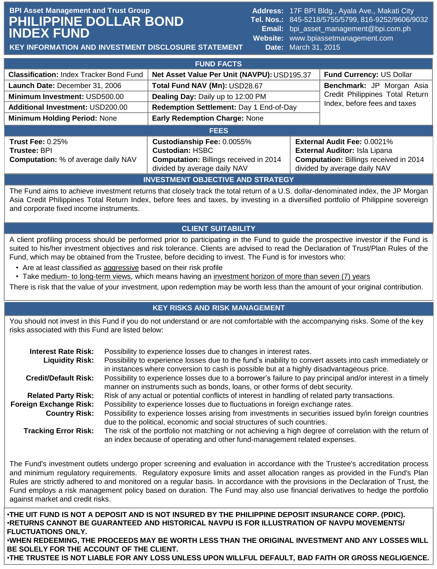# **BPI Asset Management and Trust Group Address: 17F BPI Bldg., Ayala Ave., Makati City Address: 17F BPI Bldg., Ayala Ave., Makati City PHILIPPINE DOLLAR BOND INDEX FUND**

**Tel. Nos.:** 845-5218/5755/5799, 816-9252/9606/9032 **Email:** bpi\_asset\_management@bpi.com.ph **Website:** www.bpiassetmanagement.com **Date:** March 31, 2015 1. Update Date: 1. Update Date: 1. Update

**KEY INFORMATION AND INVESTMENT DISCLOSURE STATEMENT**

|                                                                                          | <b>FUND FACTS</b>                                                                                                                     |  |                                                                                                                                               |  |
|------------------------------------------------------------------------------------------|---------------------------------------------------------------------------------------------------------------------------------------|--|-----------------------------------------------------------------------------------------------------------------------------------------------|--|
| <b>Classification: Index Tracker Bond Fund</b>                                           | Net Asset Value Per Unit (NAVPU): USD195.37                                                                                           |  | Fund Currency: US Dollar                                                                                                                      |  |
| Launch Date: December 31, 2006                                                           | Total Fund NAV (Mn): USD28.67                                                                                                         |  | Benchmark: JP Morgan Asia<br>Credit Philippines Total Return<br>Index, before fees and taxes                                                  |  |
| Minimum Investment: USD500.00                                                            | Dealing Day: Daily up to 12:00 PM                                                                                                     |  |                                                                                                                                               |  |
| Additional Investment: USD200.00                                                         | Redemption Settlement: Day 1 End-of-Day                                                                                               |  |                                                                                                                                               |  |
| <b>Minimum Holding Period: None</b>                                                      | <b>Early Redemption Charge: None</b>                                                                                                  |  |                                                                                                                                               |  |
|                                                                                          | <b>FEES</b>                                                                                                                           |  |                                                                                                                                               |  |
| Trust Fee: $0.25\%$<br><b>Trustee: BPI</b><br><b>Computation:</b> % of average daily NAV | Custodianship Fee: 0.0055%<br><b>Custodian: HSBC</b><br><b>Computation: Billings received in 2014</b><br>divided by average daily NAV |  | External Audit Fee: 0.0021%<br>External Auditor: Isla Lipana<br><b>Computation: Billings received in 2014</b><br>divided by average daily NAV |  |
|                                                                                          | INDICATMENT OF IFOTHE AND OTHATEOV                                                                                                    |  |                                                                                                                                               |  |

**INVESTMENT OBJECTIVE AND STRATEGY**

The Fund aims to achieve investment returns that closely track the total return of a U.S. dollar-denominated index, the JP Morgan Asia Credit Philippines Total Return Index, before fees and taxes, by investing in a diversified portfolio of Philippine sovereign and corporate fixed income instruments.

# **CLIENT SUITABILITY**

A client profiling process should be performed prior to participating in the Fund to guide the prospective investor if the Fund is suited to his/her investment objectives and risk tolerance. Clients are advised to read the Declaration of Trust/Plan Rules of the Fund, which may be obtained from the Trustee, before deciding to invest. The Fund is for investors who:

- Are at least classified as aggressive based on their risk profile
- Take medium- to long-term views, which means having an investment horizon of more than seven (7) years

There is risk that the value of your investment, upon redemption may be worth less than the amount of your original contribution.

# **KEY RISKS AND RISK MANAGEMENT**

You should not invest in this Fund if you do not understand or are not comfortable with the accompanying risks. Some of the key risks associated with this Fund are listed below:

| <b>Interest Rate Risk:</b>  | Possibility to experience losses due to changes in interest rates.                                                                                                                                  |
|-----------------------------|-----------------------------------------------------------------------------------------------------------------------------------------------------------------------------------------------------|
| <b>Liquidity Risk:</b>      | Possibility to experience losses due to the fund's inability to convert assets into cash immediately or<br>in instances where conversion to cash is possible but at a highly disadvantageous price. |
| <b>Credit/Default Risk:</b> | Possibility to experience losses due to a borrower's failure to pay principal and/or interest in a timely<br>manner on instruments such as bonds, loans, or other forms of debt security.           |
| <b>Related Party Risk:</b>  | Risk of any actual or potential conflicts of interest in handling of related party transactions.                                                                                                    |
| Foreign Exchange Risk:      | Possibility to experience losses due to fluctuations in foreign exchange rates.                                                                                                                     |
| <b>Country Risk:</b>        | Possibility to experience losses arising from investments in securities issued by/in foreign countries<br>due to the political, economic and social structures of such countries.                   |
|                             |                                                                                                                                                                                                     |
| <b>Tracking Error Risk:</b> | The risk of the portfolio not matching or not achieving a high degree of correlation with the return of<br>an index because of operating and other fund-management related expenses.                |

The Fund's investment outlets undergo proper screening and evaluation in accordance with the Trustee's accreditation process and minimum regulatory requirements. Regulatory exposure limits and asset allocation ranges as provided in the Fund's Plan Rules are strictly adhered to and monitored on a regular basis. In accordance with the provisions in the Declaration of Trust, the Fund employs a risk management policy based on duration. The Fund may also use financial derivatives to hedge the portfolio against market and credit risks.

•**THE UIT FUND IS NOT A DEPOSIT AND IS NOT INSURED BY THE PHILIPPINE DEPOSIT INSURANCE CORP. (PDIC).** •**RETURNS CANNOT BE GUARANTEED AND HISTORICAL NAVPU IS FOR ILLUSTRATION OF NAVPU MOVEMENTS/ FLUCTUATIONS ONLY.**

•**WHEN REDEEMING, THE PROCEEDS MAY BE WORTH LESS THAN THE ORIGINAL INVESTMENT AND ANY LOSSES WILL BE SOLELY FOR THE ACCOUNT OF THE CLIENT.**

•**THE TRUSTEE IS NOT LIABLE FOR ANY LOSS UNLESS UPON WILLFUL DEFAULT, BAD FAITH OR GROSS NEGLIGENCE.**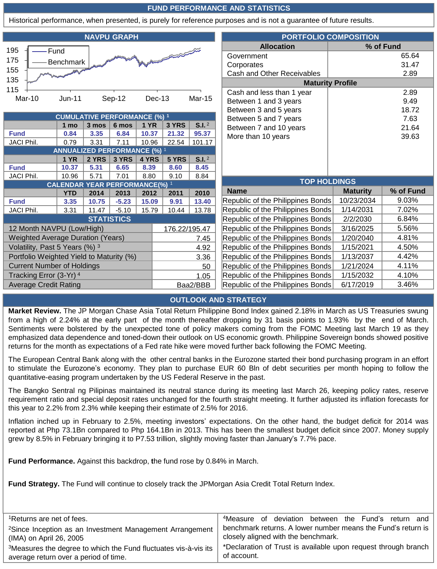## **FUND PERFORMANCE AND STATISTICS**

Historical performance, when presented, is purely for reference purposes and is not a guarantee of future results.

|                          |                          | <b>NAVPU GRAPH</b> |          |               |                               |
|--------------------------|--------------------------|--------------------|----------|---------------|-------------------------------|
| 195<br>175<br>155<br>135 | Fund<br><b>Benchmark</b> |                    |          |               | Gover<br>Corpor<br>Cash a     |
| 115<br>Mar-10            | $Jun-11$                 | Sep-12             | $Dec-13$ | <b>Mar-15</b> | Cash a<br><b>Betwe</b><br>- - |

| <b>CUMULATIVE PERFORMANCE (%) 1</b>              |       |         |             |       |                                   |
|--------------------------------------------------|-------|---------|-------------|-------|-----------------------------------|
| 1 mo                                             | 3 mos | 6 mos   | <b>1 YR</b> | 3 YRS | S.I. <sup>2</sup>                 |
| 0.84                                             | 3.35  | 6.84    | 10.37       | 21.32 | 95.37                             |
| 0.79                                             | 3.31  | 7.11    | 10.96       | 22.54 | 101.17                            |
|                                                  |       |         |             |       |                                   |
| <b>1 YR</b>                                      | 2 YRS | 3 YRS   | 4 YRS       | 5 YRS | S.I. <sup>2</sup>                 |
| 10.37                                            | 5.31  | 6.65    | 8.39        | 8.60  | 8.45                              |
| 10.96                                            | 5.71  | 7.01    | 8.80        | 9.10  | 8.84                              |
| <b>CALENDAR YEAR PERFORMANCE(%) 1</b>            |       |         |             |       |                                   |
| <b>YTD</b>                                       | 2014  | 2013    | 2012        | 2011  | 2010                              |
| 3.35                                             | 10.75 | $-5.23$ | 15.09       | 9.91  | 13.40                             |
| 3.31                                             | 11.47 | $-5.10$ | 15.79       | 10.44 | 13.78                             |
| <b>STATISTICS</b>                                |       |         |             |       |                                   |
| 12 Month NAVPU (Low/High)<br>176.22/195.47       |       |         |             |       |                                   |
| <b>Weighted Average Duration (Years)</b><br>7.45 |       |         |             |       |                                   |
| Volatility, Past 5 Years (%) 3<br>4.92           |       |         |             |       |                                   |
| Portfolio Weighted Yield to Maturity (%)<br>3.36 |       |         |             |       |                                   |
| <b>Current Number of Holdings</b><br>50          |       |         |             |       |                                   |
| Tracking Error (3-Yr) 4                          |       |         |             |       | 1.05                              |
| <b>Average Credit Rating</b>                     |       |         | Baa2/BBB    |       |                                   |
|                                                  |       |         |             |       | <b>ANNUALIZED PERFORMANCE (%)</b> |

| <b>PORTFOLIO COMPOSITION</b> |                         |  |  |  |
|------------------------------|-------------------------|--|--|--|
| <b>Allocation</b>            | % of Fund               |  |  |  |
| Government                   | 65.64                   |  |  |  |
| Corporates                   | 31.47                   |  |  |  |
| Cash and Other Receivables   | 2.89                    |  |  |  |
|                              | <b>Maturity Profile</b> |  |  |  |
| Cash and less than 1 year    | 2.89                    |  |  |  |
| Between 1 and 3 years        | 9.49                    |  |  |  |
| Between 3 and 5 years        | 18.72                   |  |  |  |
| Between 5 and 7 years        | 7.63                    |  |  |  |
| Between 7 and 10 years       | 21.64                   |  |  |  |
| More than 10 years           | 39.63                   |  |  |  |
|                              |                         |  |  |  |
|                              |                         |  |  |  |
|                              |                         |  |  |  |

| <b>TOP HOLDINGS</b>               |                 |           |
|-----------------------------------|-----------------|-----------|
| <b>Name</b>                       | <b>Maturity</b> | % of Fund |
| Republic of the Philippines Bonds | 10/23/2034      | 9.03%     |
| Republic of the Philippines Bonds | 1/14/2031       | 7.02%     |
| Republic of the Philippines Bonds | 2/2/2030        | 6.84%     |
| Republic of the Philippines Bonds | 3/16/2025       | 5.56%     |
| Republic of the Philippines Bonds | 1/20/2040       | 4.81%     |
| Republic of the Philippines Bonds | 1/15/2021       | 4.50%     |
| Republic of the Philippines Bonds | 1/13/2037       | 4.42%     |
| Republic of the Philippines Bonds | 1/21/2024       | 4.11%     |
| Republic of the Philippines Bonds | 1/15/2032       | 4.10%     |
| Republic of the Philippines Bonds | 6/17/2019       | 3.46%     |

## **OUTLOOK AND STRATEGY**

**Market Review.** The JP Morgan Chase Asia Total Return Philippine Bond Index gained 2.18% in March as US Treasuries swung from a high of 2.24% at the early part of the month thereafter dropping by 31 basis points to 1.93% by the end of March. Sentiments were bolstered by the unexpected tone of policy makers coming from the FOMC Meeting last March 19 as they emphasized data dependence and toned-down their outlook on US economic growth. Philippine Sovereign bonds showed positive returns for the month as expectations of a Fed rate hike were moved further back following the FOMC Meeting.

The European Central Bank along with the other central banks in the Eurozone started their bond purchasing program in an effort to stimulate the Eurozone's economy. They plan to purchase EUR 60 Bln of debt securities per month hoping to follow the quantitative-easing program undertaken by the US Federal Reserve in the past.

The Bangko Sentral ng Pilipinas maintained its neutral stance during its meeting last March 26, keeping policy rates, reserve requirement ratio and special deposit rates unchanged for the fourth straight meeting. It further adjusted its inflation forecasts for this year to 2.2% from 2.3% while keeping their estimate of 2.5% for 2016.

Inflation inched up in February to 2.5%, meeting investors' expectations. On the other hand, the budget deficit for 2014 was reported at Php 73.1Bn compared to Php 164.1Bn in 2013. This has been the smallest budget deficit since 2007. Money supply grew by 8.5% in February bringing it to P7.53 trillion, slightly moving faster than January's 7.7% pace.

**Fund Performance.** Against this backdrop, **t**he fund rose by 0.84% in March.

**Fund Strategy.** The Fund will continue to closely track the JPMorgan Asia Credit Total Return Index.

| <sup>1</sup> Returns are net of fees.                                       | <sup>4</sup> Measure of deviation between the Fund's return and |
|-----------------------------------------------------------------------------|-----------------------------------------------------------------|
| <sup>2</sup> Since Inception as an Investment Management Arrangement        | benchmark returns. A lower number means the Fund's return is    |
| (IMA) on April 26, 2005                                                     | closely aligned with the benchmark.                             |
| <sup>3</sup> Measures the degree to which the Fund fluctuates vis-à-vis its | *Declaration of Trust is available upon request through branch  |
| average return over a period of time.                                       | of account.                                                     |